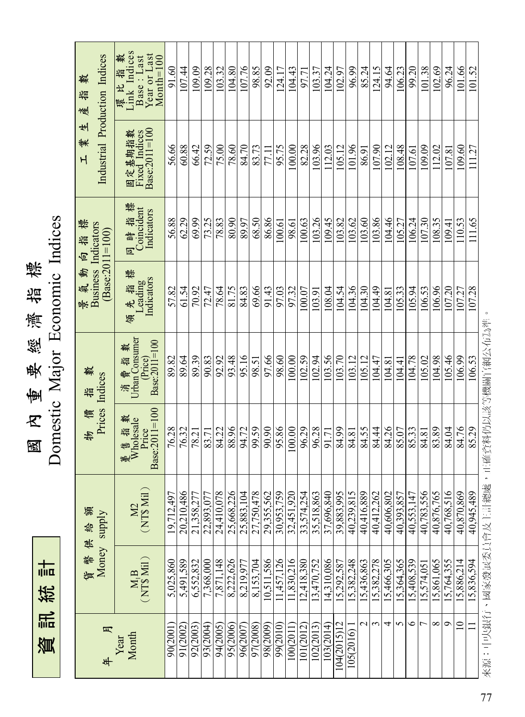資 訊 統 十一<br>I<mark>J</mark>II区

國  $\mathcal{K}$ 重 要 經 濟 益 標 Domestic Major Economic Indices

| Industrial Production Indices<br>樊<br>描<br>蔓           | 環比指數<br>Link Indices<br>Year or Last<br>Month=100<br>Base: Last                                                                                                      | 91.60      | 107.44     | 109.09     | 109.28     | 103.32     | 104.80     | 107.76     | 98.85      | 92.09      | 124.17     | 104.43                   | 97.71      | 103.37     | 104.24     | 102.97      | 96.99      | 85.24      | 124.15     | 94.64      | 106.23     | 99.20      | 101.38         | 102.69     | 96.24      | 101.66      | 101.52     |
|--------------------------------------------------------|----------------------------------------------------------------------------------------------------------------------------------------------------------------------|------------|------------|------------|------------|------------|------------|------------|------------|------------|------------|--------------------------|------------|------------|------------|-------------|------------|------------|------------|------------|------------|------------|----------------|------------|------------|-------------|------------|
| 뵈<br>業<br>$\overline{H}$                               | Base:2011=100<br>固定基期指数<br>Fixed Indices                                                                                                                             | 56.66      | 60.88      | 66.42      | 72.59      | 75.00      | 78.60      | 84.70      | 83.73      | 77.11      | 95.75      | 100.00                   | 82.28      | 103.96     | 112.03     | 105.12      | 101.96     | 86.91      | 107.90     | 102.12     | 108.48     | 107.61     | 109.09         | 112.02     | 107.81     | 109.60      | 111.27     |
| 恒 掂 標                                                  | 標<br>同時指標<br>Coincident<br>Indicators                                                                                                                                | 56.88      | 62.29      | 69.99      | 73.25      | 78.83      | 80.90      | 89.97      | 68.50      | 86.86      | 100.61     | 98.61                    | 100.63     | 103.26     | 109.45     | 103.82      | 103.62     | 103.60     | 103.86     | 104.46     | 105.27     | 106.24     | 107.30         | 108.35     | 109.41     | 110.53      | 111.65     |
| <b>Business</b> Indicators<br>$(Base:2011=100)$<br>景氣動 | 標<br>Indicators<br>領 先 指 ł<br>Leading                                                                                                                                | 57.82      | 61.54      | 70.92      | 72.47      | 78.64      | 81.75      | 84.83      | 69.66      | 91.43      | 97.03      | 97.32                    | 100.07     | 103.91     | 108.04     | 104.54      | 104.36     | 104.30     | 104.49     | 104.81     | 105.33     | 105.94     | 106.53         | 106.96     | 107.20     | 107.27      | 107.28     |
| 數<br>益                                                 | Urban Consumer<br>$Price$<br>Base:2011=100<br>數<br>實話<br>消                                                                                                           | 89.82      | 89.64      | 89.39      | 90.83      | 92.92      | 93.48      | 95.16      | 98.51      | 97.66      | 98.60      | 100.00                   | 102.59     | 102.94     | 103.56     | 103.70      | 103.12     | 105.12     | 104.47     | 104.81     | 104.41     | 104.78     | 105.02         | 104.98     | 105.46     | 106.99      | 106.53     |
| Prices Indices<br>貪<br>势                               | Base:2011=100<br>轈<br>Wholesale<br>衝描<br>Price                                                                                                                       | 76.28      | 76.32      | 78.21      | 83.71      | 84.22      | 88.96      | 94.72      | 99.59      | 90.90      | 95.86      | 100.00                   | 96.29      | 96.28      | 91.71      | 84.99       | 84.81      | 84.55      | 84.44      | 84.26      | 85.07      | 85.33      | 84.81          | 83.89      | 84.04      | 84.76       | 85.29      |
| 貨幣供給額<br>Money supply                                  | $\frac{M2}{(NT\$ Mil $)}$                                                                                                                                            | 19,712,497 | 20,210,486 | 21,358,277 | 22,893,077 | 24,410,078 | 25,668,226 | 25,883,104 | 27,750,478 | 29,355,562 | 30,953,759 | 32,451,920               | 33.574.254 | 35,518,863 | 37,696,840 | 39,883,995  | 40,239,815 | 40,416,889 | 40,412,262 | 40,606,802 | 40,393,857 | 40.553.147 | 40.783.556     | 40,876,765 | 40,768,516 | 40,870,869  | 40,945,489 |
|                                                        | $\begin{array}{c} \mathbf{M}_1\mathbf{B}\\ \mathbf{(NT\$ Mil)} \end{array}$                                                                                          | 5,025,860  | 5,491,589  | 6,552,832  | 7.368.000  | 7,871,148  | 8,222,626  | 8,219,977  | 8,153,704  | 10.511.586 |            | 11,457,126<br>11,830,216 | 12,418.380 | 13.470.752 | 14.310,086 | 15,292,587  | 15,382,248 | 15.436.863 | 5.382.278  | 15,466,305 | 15,364,365 | 15,408,539 | 15.574.05      | 5,861,065  | 15,764,355 | 15,886,214  | 15.836.594 |
|                                                        | $\begin{tabular}{ll} $\displaystyle \text{\#} & $\displaystyle \text{\#} \quad$ \\ \hspace{0.5cm} \text{Year} & \\ \text{Year} & \\ \text{Month} & \\ \end{tabular}$ | 90(2001    | 91(2002)   | 92(2003    | 93(2004    | 94(2005    | 95(2006)   | 96(2007)   | 97(2008)   | 98(2009    | 99(2010)   | 100(2011                 | 101(2012)  | 102(2013)  | 103(2014)  | 104(2015)12 | 105(2016)  | N          | $\epsilon$ | 4          | 5          | $\circ$    | $\overline{ }$ | $\infty$   | Ó          | $\supseteq$ | Ξ          |

來 源:中 央 銀 行、國 家 發 展 委 員 會 及 主 計 總 處,正 確 資 料 仍 以 該 等 機 關 官 鑑 公 布 為 準。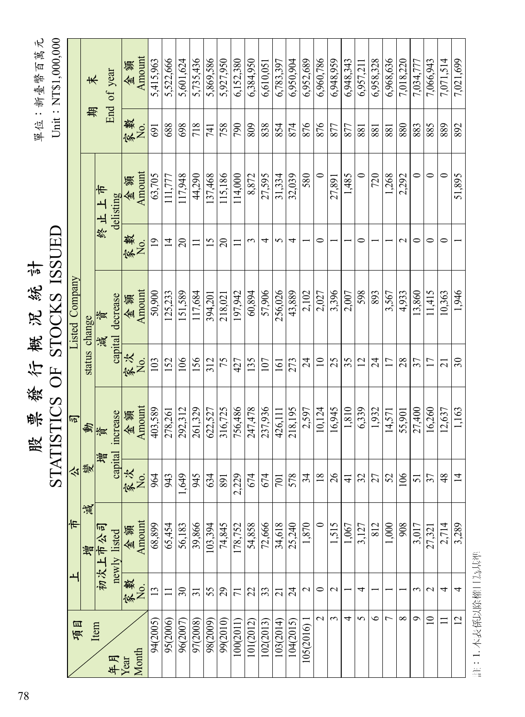| Unit: NT\$1,000,000<br>單位:新臺幣百萬元<br><b>IATISTICS OF STOCKS ISSUED</b><br>票發行概况統計<br>股 | Listed Company<br>巨 | 末<br>期<br>status change | 終止上市<br>資<br>減<br>動資 | End of year<br>delisting<br>capital decrease<br>capital increase | 金額<br>家数<br>金額<br>家<br>No.<br>金衡<br>家次<br>金額 | Amount<br>Σο.<br>Amount<br>Amount<br>χ <sub>ο</sub><br>Amount | 5,415,963<br>691<br>63,705<br>19<br>50,900<br>103<br>403,589 | 5,522,666<br>688<br>111,777<br>$\overline{1}$<br>125,233<br>152<br>278,261 | 5,601,624<br>698<br>117,948<br>$\Omega$<br>151,589<br>106<br>292,312 | 5,735,436<br>718<br>44,290<br>117,684<br>156<br>261,329 | 5,869,586<br>741<br>137,468<br>$\overline{15}$<br>394,201<br>312<br>622,527 | 5,927,950<br>758<br>115,186<br>$\Omega$<br>218,021<br>75<br>316,725 | 6,152,380<br>790<br>114,000<br>Ξ<br>197,942<br>427<br>756,486 | 6,384,950<br>809<br>8,872<br>3<br>60,894<br>135<br>247,478 | 6,610,051<br>838<br>27,595<br>4<br>57,906<br>107<br>237,936 | 6,783,397<br>854<br>31,334<br>5<br>256,026<br>161<br>426,111 | 6.950.904<br>874<br>32,039<br>₹<br>43,889<br>273<br>218,195 | 6,952,689<br>876<br>580<br>2,102<br>$\overline{24}$<br>2,597 | 6,960,786<br>876<br>$\circ$<br>0<br>2,027<br>$\equiv$<br>10,124 | 6,948,959<br>877<br>27.891<br>3.396<br>25<br>16,945 | 6,948,343<br>877<br>1,485<br>2,007<br>35<br>1,810 | 6,957,211<br>881<br>$\circ$<br>0<br>598<br>12<br>6,339 | 6,958,328<br>881<br>720<br>893<br>$\overline{24}$<br>1,932 | 6,968,636<br>881<br>1,268<br>3,567<br>17<br>14.571 | 7,018,220<br>880<br>2,292<br>$\mathbf{\sim}$<br>4,933<br>28<br>55,901 | 7,034,777<br>883<br>$\circ$<br>0<br>13,860<br>37<br>27,400 | 7,066,943<br>885<br>$\circ$<br>0<br>11,415<br>17<br>16,260 | 7,071,514<br>889<br>$\circ$<br>0<br>10,363<br>$\overline{c}$<br>12,637 | 7,021,699<br>892<br>51,895<br>1,946<br>$\overline{\mathcal{E}}$<br>1,163 |
|---------------------------------------------------------------------------------------|---------------------|-------------------------|----------------------|------------------------------------------------------------------|----------------------------------------------|---------------------------------------------------------------|--------------------------------------------------------------|----------------------------------------------------------------------------|----------------------------------------------------------------------|---------------------------------------------------------|-----------------------------------------------------------------------------|---------------------------------------------------------------------|---------------------------------------------------------------|------------------------------------------------------------|-------------------------------------------------------------|--------------------------------------------------------------|-------------------------------------------------------------|--------------------------------------------------------------|-----------------------------------------------------------------|-----------------------------------------------------|---------------------------------------------------|--------------------------------------------------------|------------------------------------------------------------|----------------------------------------------------|-----------------------------------------------------------------------|------------------------------------------------------------|------------------------------------------------------------|------------------------------------------------------------------------|--------------------------------------------------------------------------|
|                                                                                       |                     |                         |                      |                                                                  |                                              |                                                               |                                                              |                                                                            |                                                                      |                                                         |                                                                             |                                                                     |                                                               |                                                            |                                                             |                                                              |                                                             |                                                              |                                                                 |                                                     |                                                   |                                                        |                                                            |                                                    |                                                                       |                                                            |                                                            |                                                                        |                                                                          |
|                                                                                       |                     |                         |                      |                                                                  |                                              |                                                               |                                                              |                                                                            |                                                                      |                                                         |                                                                             |                                                                     |                                                               |                                                            |                                                             |                                                              |                                                             |                                                              |                                                                 |                                                     |                                                   |                                                        |                                                            |                                                    |                                                                       |                                                            |                                                            |                                                                        |                                                                          |
|                                                                                       |                     |                         |                      |                                                                  |                                              |                                                               |                                                              |                                                                            |                                                                      |                                                         |                                                                             |                                                                     |                                                               |                                                            |                                                             |                                                              |                                                             |                                                              |                                                                 |                                                     |                                                   |                                                        |                                                            |                                                    |                                                                       |                                                            |                                                            |                                                                        |                                                                          |
|                                                                                       |                     |                         |                      |                                                                  |                                              |                                                               |                                                              |                                                                            |                                                                      |                                                         |                                                                             |                                                                     |                                                               |                                                            |                                                             |                                                              |                                                             |                                                              |                                                                 |                                                     |                                                   |                                                        |                                                            |                                                    |                                                                       |                                                            |                                                            |                                                                        |                                                                          |
| $\mathbf{S}$                                                                          | 大樂                  |                         | 尊                    |                                                                  | 家次<br>No.                                    |                                                               | 964                                                          | 943                                                                        | 1,649                                                                | 945                                                     | 634                                                                         | 891                                                                 | 2,229                                                         | 674                                                        | 674                                                         | 701                                                          | 578                                                         | 34                                                           | $\overline{18}$                                                 | $\delta$                                            | $\overline{4}$                                    | 32                                                     | 27                                                         | 25                                                 | 106                                                                   | 51                                                         | 37                                                         | $\frac{8}{3}$                                                          | $\overline{1}$                                                           |
|                                                                                       | 市                   | 谟<br>曾                  | 初次上市公司               | newly listed                                                     | 金額                                           | Amount                                                        | 68,899                                                       | 65,454                                                                     | 56,183                                                               | 39,866                                                  | 103,394                                                                     | 74,845                                                              | 178,752                                                       | 54,858                                                     | 72,666                                                      | 34,618                                                       | 25,240                                                      | 1,870                                                        |                                                                 | 1,515                                               | 1,067                                             | 3,127                                                  | 812                                                        | 1,000                                              | 908                                                                   | 3,017                                                      | 27,321                                                     | 2,714                                                                  | 3,289                                                                    |
|                                                                                       |                     |                         |                      |                                                                  | 家數                                           | χ <sub>ο</sub>                                                | 13                                                           | Ξ                                                                          | $\overline{\mathcal{E}}$                                             | $\overline{31}$                                         | 55                                                                          | 29                                                                  | 11                                                            | 22                                                         | 33                                                          | $\overline{\Omega}$                                          | $\overline{24}$                                             | $\mathcal{L}$                                                | $\circ$                                                         | $\mathbf 2$                                         |                                                   | 4                                                      |                                                            |                                                    |                                                                       | 3                                                          | $\mathbf 2$                                                | 4                                                                      | 4                                                                        |
|                                                                                       | 項目                  |                         | Item                 | 年月<br>Year                                                       |                                              | Month                                                         | 94(2005)                                                     | 95(2006)                                                                   | 96(2007                                                              | 97(2008)                                                | 98(2009)                                                                    | 99(2010)                                                            | 100(2011)                                                     | 101(2012)                                                  | 102(2013)                                                   | 103(2014)                                                    | 104(2015)                                                   | 105(2016)                                                    | $\overline{\mathcal{C}}$                                        | $\epsilon$                                          | 4                                                 | 5                                                      | $\bullet$                                                  | 7                                                  | $\infty$                                                              | $\sigma$                                                   | $\overline{10}$                                            |                                                                        | $\mathbf{C}$                                                             |

註:1.本表係以除權日為基準 註:1. 本表係以除權日為基準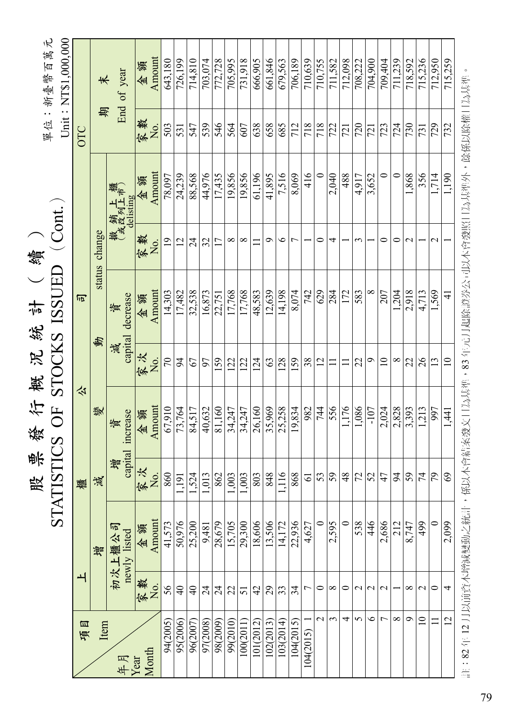|                                 |                 |                        |                 |                       |                 |                                              | 續               |                                 |     |                                  |
|---------------------------------|-----------------|------------------------|-----------------|-----------------------|-----------------|----------------------------------------------|-----------------|---------------------------------|-----|----------------------------------|
|                                 |                 |                        | 股<br>STATIS     |                       |                 | ₩ 滚 行 萦 沢 溌 草 ( *<br>TICS OF STOCKS ISSUED   | $($ Cont. $)$   |                                 |     | 單位:新臺幣百萬元<br>Unit: NT\$1,000,000 |
| 項目                              | ᅬ               |                        | 櫃               | 公                     |                 | 司                                            |                 |                                 | OTC |                                  |
| Item                            |                 | 增                      | 減               | 變                     | 動               | status                                       | change          |                                 | 斯   | 末                                |
| 年月                              |                 | 初次上櫃公司<br>newly listed | 道               | capital increase<br>資 | capital<br>減    | decrease<br>資                                |                 | 撤 銷 上 櫃<br>(或改列上市)<br>delisting |     | End of year                      |
| Year                            | 家數              | 金額                     | 家次<br>No.       | 金額                    | 家次              | 金額                                           | 家数              | 金額                              | 家數  | 金額                               |
| Month                           | Χo.             | Amount                 |                 | Amount                | Σò,             | Amount                                       | Χo.             | Amount                          | ΣÓ. | Amount                           |
| 94(2005                         | 56              | 41,573                 | 860             | 67,910                | $\sqrt{2}$      | 14,303                                       | $\overline{19}$ | 78,097                          | 503 | 643,180                          |
| 95(2006)                        | $\overline{4}$  | 50,976                 | 1,191           | 73,764                | $\overline{5}$  | 17,482                                       | 12              | 24,239                          | 531 | 726,199                          |
| 96(2007                         | $\overline{4}$  | 25,200                 | 1,524           | 84,517                | 67              | 32,538                                       | $\overline{24}$ | 88,568                          | 547 | 714,810                          |
| 97(2008)                        | $\overline{24}$ | 9,481                  | 1,013           | 40.632                | 97              | 16.873                                       | 32              | 44,976                          | 539 | 703.074                          |
| 98(2009)                        | $\overline{24}$ | 28,679                 | 862             | 81,160                | 159             | 22,751                                       | 17              | 17,435                          | 546 | 772,728                          |
| 99(2010)                        | $\mathfrak{L}$  | 15,705                 | 1,003           | 34,247                | 122             | 17,768                                       | ∞               | 19,856                          | 564 | 705,995                          |
| 100(2011)                       | 51              | 29,300                 | 1,003           | 34,247                | 122             | 17,768                                       | $\infty$        | 19,856                          | 607 | 731,918                          |
| 101(2012)                       | 42              | 18,606                 | 803             | 26,160                | 124             | 48,583                                       |                 | 61,196                          | 638 | 666,905                          |
| 102(2013)                       | 29              | 13,506                 | 848             | 35,969                | 63              | 12,639                                       | ᡋ               | 41,895                          | 658 | 661,846                          |
| 103(2014)                       | 33              | 14,172                 | 1,116           | 25,258                | 28              | 4,198                                        | ७               | 7,516                           | 685 | 679,563                          |
| 104(2015)                       | 34              | 22,936                 | 868             | 19,834                | 159             | 8,074                                        | $\overline{ }$  | 8,069                           | 712 | 706,189                          |
| 104(2015)                       | 5               | 4,627                  | 5               | 982                   | 38              | 742                                          |                 | 416                             | 718 | 710,639                          |
| $\overline{\mathcal{C}}$        | $\circ$         | $\circ$                | 23              | 744                   | $\overline{c}$  | 629                                          | 0               | $\circ$                         | 718 | 710,755                          |
| 3                               | ∞               | 2,595                  |                 | 556                   | $\mathbf{1}$    | 284                                          | 4               | 2,040                           | 722 | 711,582                          |
| 4                               | $\circ$         | $\circ$                | $\frac{8}{3}$   | 1.176                 | $\Xi$           | 172                                          |                 | 488                             | 721 | 712.098                          |
| 5                               | $\mathcal{L}$   | 538                    | $ \mathcal{C} $ | 1,086                 | 22              | 583                                          | ξ               | 4,917                           | 720 | 708,222                          |
| $\bullet$                       | $\mathbf 2$     | 446                    | 52              | $-107$                | $\circ$         | $\infty$                                     |                 | 3,652                           | 721 | 704,900                          |
| L                               | $\mathbf 2$     | 2,686                  | 47              | 2,024                 | $\overline{10}$ | 207                                          | 0               | 0                               | 723 | 709,404                          |
| $\infty$                        |                 | 212                    | $\approx$       | 2,828                 | ${}^{\circ}$    | 1,204                                        | 0               | $\circ$                         | 724 | 711,239                          |
| $\sigma$                        | ∞               | 8,747                  |                 | 3,393                 | 22              | 2,918                                        | $\mathbf 2$     | 1,868                           | 730 | 718,592                          |
| $\supseteq$                     | $\mathbf 2$     | 499                    | 3 z             | 1,213                 | 26              | 4,713                                        |                 | 356                             | 731 | 715,236                          |
| $\Box$                          | 0               | $\circ$                |                 | 997                   | $\mathbf{13}$   | 1,569                                        | $\mathbf{C}$    | 1,714                           | 729 | 712,950                          |
| $\overline{2}$                  | 4               | 2,099                  | $\Im$           | $\overline{41}$       | $\overline{1}$  | $\overline{4}$                               |                 | 1,190                           | 732 | 715,259                          |
| 出:8J 在 1J Ⅲ W 把幼卡涵論準中3辞 #+ 1Z W |                 |                        |                 |                       |                 | 大命结牧路专口节其准,83 年中日赶险器类穴司互大命器跖口节其准护,络孩门窃藉口节其准。 |                 |                                 |     |                                  |

註:82 年 12 月以前資本增減變動之統計,係以本會結案發文日為基準,83 年元月起除證券公司以本會發照日為基準外,餘係以除權日為基準。 既伏以陈催口 為基準 85 年兀月起廃調が公司以今買毀照口為基理外 82 年 12 月以則覓今瑁減變動人統計,徐以今胃結条發入口為基準 H.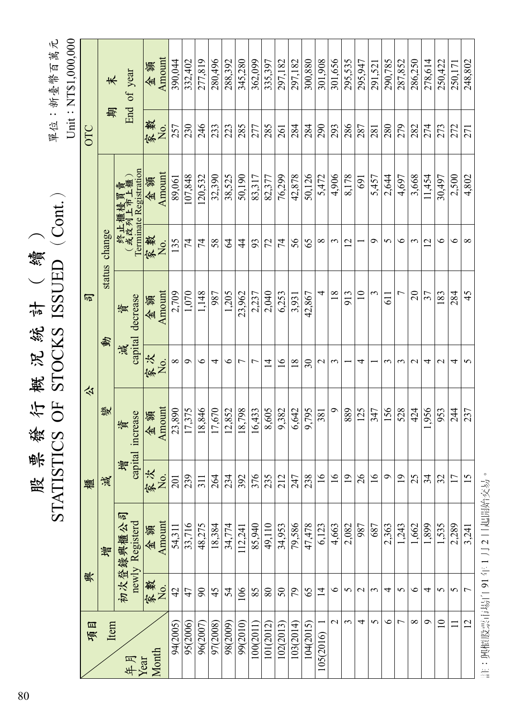|                     |                      |                             |                         |                       |                         |                              | 續              |                                              |            |                    |
|---------------------|----------------------|-----------------------------|-------------------------|-----------------------|-------------------------|------------------------------|----------------|----------------------------------------------|------------|--------------------|
|                     |                      |                             | 股票簽                     | <b>谷中</b>             |                         | 被 沢 統 計 ( き<br>STOCKS ISSUED |                | $($ Cont. $)$                                |            | 單位:新臺幣百萬元          |
|                     |                      |                             |                         |                       |                         |                              |                |                                              |            | Unit: NTS1,000,000 |
| 項目                  | 興                    |                             | 櫃                       |                       | 公                       | 百                            |                |                                              | OTC        |                    |
| Item                |                      | 質                           | 減                       | 變                     | 動                       | status                       | change         |                                              | 期          | 末                  |
| 年月                  |                      | 初次登錄興櫃公司<br>newly Registerd | 彎                       | capital increase<br>資 | capital<br>減            | decrease<br>資                |                | Terminate Registration<br>終止櫃檯買賣<br>(或改列上市上櫃 |            | End of year        |
| Month<br>Year       | 家數                   | 金額                          | 家次                      | 金額                    | 家次<br>$\overline{N}$ o. | 金額                           | 家數             | 金額                                           | 家数         | 金額                 |
| 94(2005)            | No.<br>42            | Amount                      | χ <sub>ο</sub><br>201   | Amount<br>23,890      | $\infty$                | Amount<br>2,709              | 135<br>No.     | Amount<br>89,061                             | 257<br>No. | Amount<br>390.044  |
|                     |                      | 54,311                      |                         |                       |                         |                              | $\overline{7}$ |                                              |            |                    |
| 95(2006)<br>96(2007 | $\mathfrak{g}$<br>47 | 33,716<br>48,275            | 239<br>$\overline{311}$ | 18,846<br>17,375      | $\sigma$<br>$\circ$     | 1,070<br>1,148               | 74             | 107,848<br>120,532                           | 230<br>246 | 277,819<br>332,402 |
| 97(2008)            | 45                   | 18,384                      | 264                     | 17,670                | 4                       | 987                          | 58             | 32,390                                       | 233        | 280,496            |
| 98(2009)            | 54                   | 34,774                      | 234                     | 12,852                | $\bullet$               | 1,205                        | $\mathcal{Z}$  | 38,525                                       | 223        | 288,392            |
| 99(2010)            | 106                  | 112,241                     | 392                     | 18,798                | $\overline{ }$          | 23,962                       | $\frac{4}{4}$  | 50,190                                       | 285        | 345,280            |
| 100(2011            | 85                   | 85,940                      | 376                     | 16,433                | $\overline{ }$          | 2,237                        | 93             | 83,317                                       | 277        | 362,099            |
| 101(2012)           | $80\,$               | 49,110                      | 235                     | 8,605                 | $\overline{4}$          | 2,040                        | 72             | 82,377                                       | 285        | 335,397            |
| 102(2013            | 50                   | 34,953                      | 212                     | 9,382                 | $\overline{16}$         | 6,253                        | 74             | 76,299                                       | 261        | 297,182            |
| 103(2014)           | 79                   | 79,586                      | 247                     | 6,642                 | $\frac{8}{18}$          | 3,931                        | 56             | 42,878                                       | 284        | 297,182            |
| 104(2015)           | 65                   | 47,478                      | 238                     | 9.795                 | $\Im 0$                 | 42,867                       | 65             | 50,126                                       | 284        | 300,880            |
| 105(2016)           | $\overline{1}$       | 6,123                       | $\overline{16}$         | 381                   | $\mathbf{C}$            | 4                            | $\infty$       | 5,472                                        | 290        | 301,908            |
| $\mathbf{\sim}$     | $\circ$              | 4,663                       | $\overline{16}$         | Ó                     | $\epsilon$              | 18                           | 3              | 4,906                                        | 293        | 301,656            |
| ς                   | 5                    | 2,082                       | $\overline{19}$         | 889                   |                         | 913                          | $\mathbf 2$    | 8,178                                        | 286        | 295,535            |
| 4                   | $\mathbf 2$          | 987                         | $\frac{26}{5}$          | 125                   | 4                       | $\equiv$                     |                | 691                                          | 287        | 295,947            |
| 5                   | 3                    | 687                         | $\frac{6}{1}$           | 347                   |                         | ξ                            | ç              | 5,457                                        | 281        | 291,521            |
| $\circ$             | 4                    | 2,363                       | $\circ$                 | 156                   | 3                       | 611                          | 5              | 2,644                                        | 280        | 290,785            |
| $\overline{ }$      | 5                    | 1,243                       | 19                      | 528                   | $\epsilon$              | $\overline{ }$               | $\circ$        | 4,697                                        | 279        | 287,852            |
| $\infty$            | $\circ$              | 1,662                       | 25                      | 424                   | $\sim$                  | $\overline{c}$               | $\epsilon$     | 3,668                                        | 282        | 286,250            |
| Ó                   | 4                    | 1,899                       | 34                      | 956                   | 4                       | 37                           | $\mathbf{C}$   | 11,454                                       | 274        | 278,614            |
| $\equiv$            | 5                    | 1,535                       | 32                      | 953                   | $\mathbf 2$             | 183                          | $\circ$        | 30,497                                       | 273        | 250,422            |
| Ξ                   | 5                    | 2,289                       | 17                      | 244                   | 4                       | 284                          | $\circ$        | 2,500                                        | 272        | 250,171            |
| 12                  | $\overline{ }$       | 3,241                       | 15                      | 237                   | 5                       | 45                           | $\infty$       | 4,802                                        | 271        | 248,802            |
|                     |                      |                             |                         |                       |                         |                              |                |                                              |            |                    |

註:興櫃股票市場自91年1月2日起開始交易。 註:興櫃股票市場自 91 年 1 月 2 日起開始交易。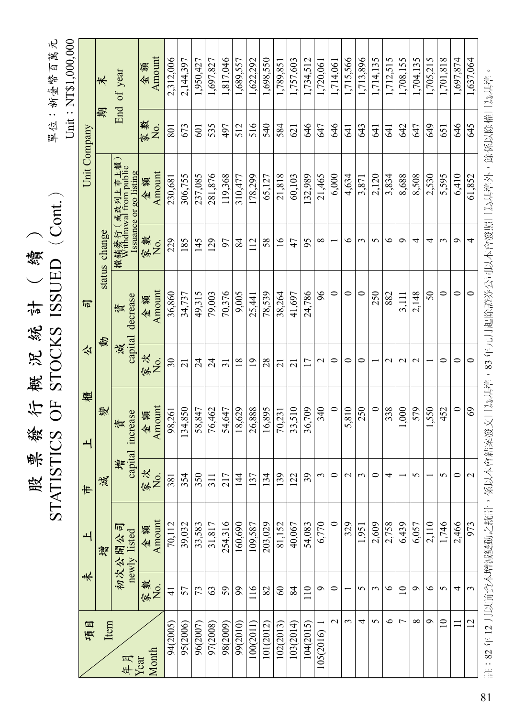|                     | ١K<br>新臺幣百萬<br>位<br>吗 |
|---------------------|-----------------------|
|                     |                       |
| 續<br>$rac{1}{4}$    | <br>)                 |
| 統<br><b>Rí</b><br>楔 | $\mathcal{L}$<br>くくして |
| 斗<br>發<br>票<br>股    |                       |
|                     |                       |

單位:新臺幣百萬元

Unit: NT\$1,000,000  $Unit:NT$1,000,000$ 

|              | ₩             | End of year                                                      | Amount<br>金額   | 2,312,006                | 2,144,397      | 1,950,427 | 1,697,827       | 817,046             | 1,689,557     | 1,622,292      | .,698,550 | .789.851        | 1,757,603       | 1,734,512       | .720,061      | 1,714,061       | 1,715,566     | 1,713,896 | 1,714,135 | 1,712,515     | 1,708,155   | 1,704,135       | 1.705.215 | 1,701,818 | 1,697,874 | ,637,064          |                        |
|--------------|---------------|------------------------------------------------------------------|----------------|--------------------------|----------------|-----------|-----------------|---------------------|---------------|----------------|-----------|-----------------|-----------------|-----------------|---------------|-----------------|---------------|-----------|-----------|---------------|-------------|-----------------|-----------|-----------|-----------|-------------------|------------------------|
|              | 無             |                                                                  | 农数<br>ΣÓ.      | 801                      | 673            | 601       | 535             | 497                 | 512           | 516            | 540       | 584             | 621             | 646             | 647           | 646             | 541           | 643       | 541       | 541           | 642         | 647             | 649       | 651       | 846       | 645               | 穿衣/4/10分番口も中華          |
| Unit Company |               | 撤銷發行 (或改列上市上櫃<br>Withdrawal from public<br>ssuance or go listing | Amount<br>金額   | 230,681                  | 306,755        | 237,085   | 281,876         | 119,368             | 310,477       | 178,299        | 65,127    | 21,818          | 60,103          | 132,989         | 21,465        | 6,000           | 4,634         | 3,871     | 2,120     | 3,834         | 8,688       | 8,508           | 2,530     | 5,595     | 6,410     | 61,852            | 口も曲着毛                  |
|              | status change |                                                                  | 家数<br>Χo.      | 229                      | 185            | 145       | 129             | 97                  | 84            | 112            | 58        | $\overline{16}$ | 47              | 95              | ${}^{\circ}$  |                 | ७             | 3         | 5         | ৩             | ๑           | 4               | 4         | 3         | Ō         | 4                 |                        |
| 百            |               | decrease<br>資                                                    | Amount<br>金額   | 36,860                   | 34,737         | 49,315    | 79,003          | 70,376              | 9,005         | 25,441         | 78,539    | 38,264          | 41,697          | 24,786          | 96            | $\circ$         | $\circ$       | $\circ$   | 250       | 882           | 3,111       | 2,148           | 50        | 0         | $\circ$   | $\circ$           | 医粘合术 医阿尔米维奇            |
| 公            | 動             | capital<br>減                                                     | 家次<br>χō.      | $\overline{\mathcal{E}}$ | $\overline{c}$ | 24        | $\overline{24}$ | $\overline{31}$     | 18            | $\overline{1}$ | 28        | $\overline{c}$  | $\overline{21}$ | $\overline{17}$ | $\mathcal{L}$ | 0               | 0             | $\circ$   |           | $\mathcal{L}$ | $\mathbf 2$ | $\mathbf{\sim}$ |           | $\circ$   | 0         | $\circ$           | $22 \div 7$            |
| 櫃<br>ᅬ       | 變             | capital increase<br>資                                            | Amount<br>金額   | 98,261                   | 134,850        | 58,847    | 76,462          | 54,647              | 18,629        | 26,888         | 16,895    | 70,231          | 33,510          | 36,709          | 340           | $\circ$         | .810<br>5     | 250       | $\circ$   | 338           | 000         | 579             | 550       | 452       | $\circ$   | $\mathcal{S}$     | 卡维谷的化学 古古              |
| 市            | 漠             | 賛                                                                | 次<br>家次<br>No. | 38                       | 354            | 350       | $\overline{31}$ | ŗ<br>$\overline{c}$ | $\frac{4}{4}$ | 137            | 4         | 139             | 122             | $\mathfrak{L}$  | $\epsilon$    | $\circ$         | $\mathcal{L}$ | 3         | $\circ$   | 4             |             | S               |           | 5         | 0         | $\mathbf{\Omega}$ | 反に                     |
| ᅬ            | 增             | 初次公開公司<br>newly listed                                           | Amount<br>金額   | 70,112                   | 39,032         | 33,583    | 31,817          | 254,316             | 160,690       | 109,587        | 203,029   | 81,152          | 40,067          | 54,083          | 6,770         | $\circ$         | 329           | 1,951     | 2,609     | 2,758         | 6,439       | 6,057           | 2,110     | 1,746     | 2,466     | 973               |                        |
| 未            |               |                                                                  | 家<br>No.       | $\exists$                | 57             | 73        | 63              | 59                  | 60            | 116            | $82\,$    | $\infty$        | 84              | 110             | $\circ$       | 0               |               | 5         | 3         | $\circ$       | $\supseteq$ | Ó               | ৩         | 5         | 4         | 3                 |                        |
| 項目           | Item          | 年月                                                               | Month<br>Year  | 94(2005)                 | 95(2006)       | 96(2007)  | 97(2008)        | 98(2009)            | 99(2010)      | 100(2011)      | 101(2012) | 102(2013)       | 103(2014)       | 104(2015)       | 105(2016)     | $\mathbf{\sim}$ | 3             | 4         | 5         | $\circ$       | 7           | ${}^{\circ}$    | Ó         | $\equiv$  | $\equiv$  | 12                | 半,04 在 14 正三拍的卡酒话语使中分析 |

註:82 年 12 月以前資本增減變動之統計,係以本會結案發文日為基準,83 年元月起除證券公司以本會發照日為基準外,餘係以除權日為基準。 註:82 年 12 月以即負本增減變動之統計,徐以本曾結案發又日為基準,83 年元月起除證券公司以本曾發照日為基準外,脉係以除罹日為基準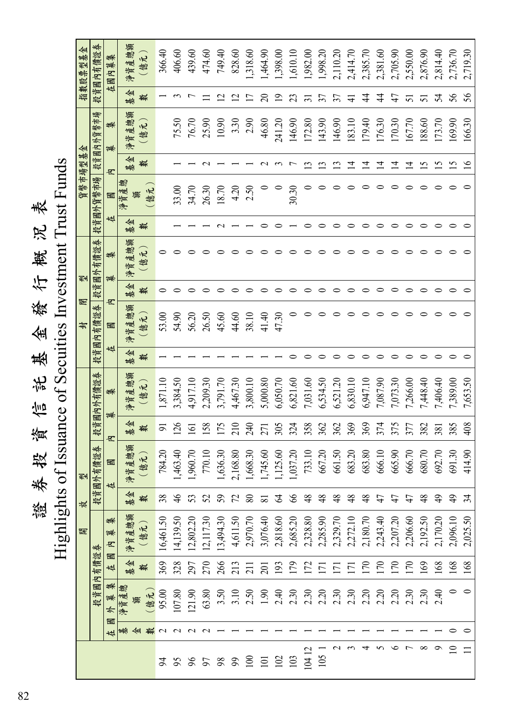## 證券投資信託基金發行概況表<br>Highlights of Issuance of Secuities Investment Trust Funds 券 投 資 信 託 基 金 發 行 概 況 表

Highlights of Issuance of Secuities Investment Trust Funds

| 指数股票型基金 | 投資國內有價證券           | 內募集<br>在圆    | 净資產總額     | (億元)    | 366.40    | 406.60        | 439.60         | 474.60               | 749.40                  | 828.60                    | 1,318.60        | 1,464.90            | 1,398.00       | 1,610.10 | 1,982.00       | 1,998.20      | 2,110.20            | 2,414.70         | 2,385.70      | 2,381.60       | 2,705.90       | 2,550.00 | 2,876.90         | 2,814.40      | 2,736.70    | 2,719.30 |
|---------|--------------------|--------------|-----------|---------|-----------|---------------|----------------|----------------------|-------------------------|---------------------------|-----------------|---------------------|----------------|----------|----------------|---------------|---------------------|------------------|---------------|----------------|----------------|----------|------------------|---------------|-------------|----------|
|         |                    |              | ⊯<br>基    | 數       |           |               |                |                      | $\overline{\mathbf{C}}$ | $\overline{\mathfrak{c}}$ |                 | $\Omega$            | $\overline{9}$ | 23       |                | 57            | 57                  |                  | 4             | 4              | $47$           |          | 5                | 24            | 56          | 56       |
|         | 市場<br>散巾<br>投資國內外貨 | 集<br>蔈       | 净資產總額     | ۱R<br>億 |           | 75.50         | 76.70          | 25.90                | 10.90                   | 3.30                      | 2.90            | 46.80               | 241.20         | 146.90   | 172.80         | 143.90        | 146.90              | 183.10           | 179.40        | 176.30         | 170.30         | 167.70   | 188.60           | 173.70        | 169.90      | 166.30   |
|         |                    | ヱ            | ⋘<br>基    | 數       |           |               |                |                      |                         |                           |                 |                     |                |          |                | ≌             |                     | ュ                | ⊒             | 그              | ュ              | 크        | $\tilde{\bm{c}}$ | $\tilde{S}1$  | S           | ٵ        |
| 貨幣市場型基金 | 投資國外貨幣市場           | 圝            | 鬱<br>淨資產  | 億元<br>籟 |           | 33.00         | 34.70          | 26.30                | 18.70                   | 4.20                      | 2.50            |                     |                | 30.30    |                |               |                     |                  |               |                |                |          |                  |               |             |          |
|         |                    | 在            | ⋘<br>基    | 轔       |           |               |                |                      |                         |                           |                 |                     |                |          |                |               |                     |                  |               |                |                |          |                  |               |             |          |
|         | 券<br>投資國外有價證       | 集<br>募       | 產總額<br>淨資 | 億元      |           |               |                |                      |                         |                           |                 |                     |                |          |                |               |                     |                  |               |                |                |          |                  |               |             |          |
| 剉       |                    |              | 基金        | 轛       |           |               |                |                      |                         |                           |                 |                     |                |          |                |               |                     |                  |               |                |                |          |                  |               |             |          |
| 閉<br>封  | 莽<br>有價證<br>ヱ      | ヱ<br>圝       | 净資產總額     | (億元)    | 53.00     | 54.90         | 56.20          | 26.50                | 45.60                   | 44.60                     | 38.10           | 41.40               | 47.30          |          |                |               |                     |                  |               |                |                |          |                  |               |             |          |
|         | 投資國                | +4           | ≮₩<br>基   | 數       |           |               |                |                      |                         |                           |                 |                     |                |          |                |               |                     |                  |               |                |                |          |                  |               |             |          |
|         | 投資國內外有價證券          | 集            | 净資產總額     | (億元)    | 1,871.10  | 3,384.50      | 4,917.10       | 2,209.30             | 3,791.70                | 4,467.30                  | 3,800.10        | 5,000.80            | 6,050.70       | 6,821.60 | 7,031.60       | 6,534.50      | 6,521.20            | 6,830.10         | 6,947.10      | 7,087.90       | 7,073.30       | 7,266.00 | 7,448.40         | 7,406.40      | 7,389.00    | 7,653.50 |
|         |                    | 募<br>ヱ       | ⋘<br>基    | 變       | 5         | 126           | $\overline{5}$ | 158                  | 175                     | 210                       | 240             | 271                 | 305            | 324      | 358            | 362           | 362                 | 369              | 369           | 374            | 375            | 377      | 382              | 381           | 385         | 408      |
| 剄       | 外有價證券              | 國<br>栫       | 净資產總額     | (億元)    | 784.20    | 1,463.40      | 1,960.70       | 770.10               | 1,636.30                | 2,168.80                  | 1,668.30        | 1,745.60            | 1,125.60       | 1,037.20 | 733.10         | 667.20        | 661.50              | 683.20           | 683.80        | 666.10         | 665.90         | 666.70   | 680.70           | 692.70        | 691.30      | 414.90   |
| 放       | 圝<br>投資            |              | ∢⊮<br>基   |         | 38        | $\frac{4}{5}$ |                | 52                   | $\mathcal{S}$           | 5 %                       |                 | $\overline{\infty}$ | $\mathcal{Z}$  | 66       | $\frac{8}{3}$  | $\frac{8}{3}$ | $\frac{8}{3}$       | $\frac{8}{3}$    | $\frac{8}{4}$ | $\frac{d}{dt}$ | $\frac{d}{dt}$ |          | $\frac{8}{4}$    | $\frac{1}{2}$ |             | र्न      |
| 開       | 莽                  | 集<br>滌<br>ヱ  | 净資產總額     | 億元      | 16,461.50 | 14,139.50     | 12,802.20      | 12,117.30            | 13,494.30               | 4,611.50                  | 2,970.70        | 3,076.40            | 2,818.60       | 2,685.20 | 2,328.80       | 2,285.90      | 2,329.70            | 2,272.10         | 2,180.70      | 2,243.40       | 2,207.20       | 2,206.60 | 2,192.50         | 2,170.20      | 2,096.10    | 2,025.50 |
|         | 內有價證               | 國<br>在       | 基金        | 數       | 369       | 328           | 297            | 270                  | 266                     |                           | $\frac{21}{21}$ |                     | 193            | 179      | $\frac{22}{2}$ |               | $\overline{\Gamma}$ | $\overline{\Xi}$ | 170           | 170            | 170            | 170      | $\overline{69}$  | 168           | 168         | 168      |
|         | 投資國                | 集<br>篻<br>☆  | 鬱<br>淨資產  | 億元<br>镶 | 95.00     | 107.80        | 121.90         | 63.80                | 3.50                    | 3.10                      | 2.50            | $\overline{1.90}$   | 2.40           | 2.30     | 2.30           | 2.20          | 2.30                | $2.30$<br>$2.20$ |               |                | 2.20           | 2.30     | 2.30             | 2.40          |             | $\circ$  |
|         |                    | $\mathbb{R}$ | 基         | 金數      | $\sim$    | $\sim$        | $\sim$         |                      |                         |                           |                 |                     |                |          |                |               |                     |                  |               |                |                |          |                  |               |             |          |
|         |                    |              |           |         | z         |               |                | 5 \$ 5 \$ \$ 5 5 5 2 |                         |                           |                 |                     |                | 103      | 10412          | 105           |                     |                  |               |                |                |          |                  |               | $\supseteq$ |          |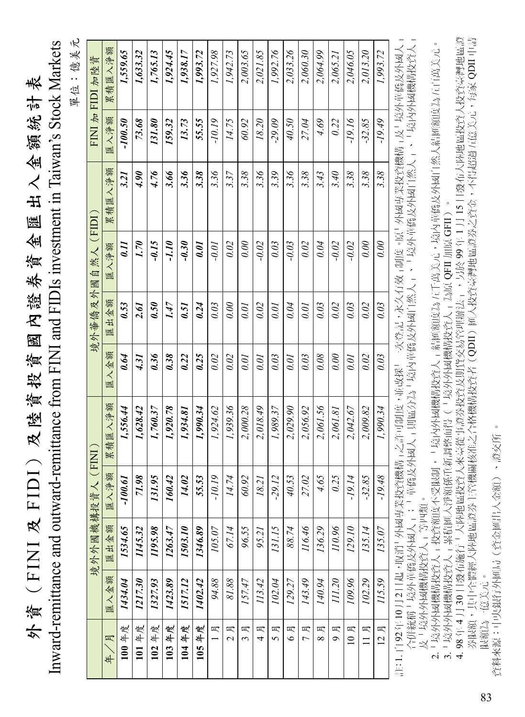| 表                                                            |                   |
|--------------------------------------------------------------|-------------------|
| 尘                                                            |                   |
| $\frac{1}{2}$                                                |                   |
| 銜<br>Ķ                                                       |                   |
| l                                                            |                   |
|                                                              |                   |
| 표                                                            |                   |
| 匯                                                            |                   |
| $\left\langle \vec{r}\right\rangle$                          |                   |
|                                                              |                   |
| 卷章                                                           |                   |
| 證                                                            |                   |
| $\overline{\mathcal{K}}$                                     |                   |
| 國                                                            |                   |
| 資                                                            |                   |
| 資投                                                           |                   |
|                                                              |                   |
| 法                                                            |                   |
| $\mathcal{R}$ )                                              |                   |
|                                                              |                   |
| ŀ                                                            |                   |
|                                                              |                   |
|                                                              |                   |
| ENIA FID                                                     |                   |
| ֧֖֖֧֖֖֧֧֧֧֧֧֦֧֧֧֧֧֧֧֧֚֚֚֚֚֚֝֬֝֬֝֓֓֝֬֝֓֝֬֝֓֝֬֝֬֝֓֝֬֝֓֝֬֝֬֝֬֝֬ | l                 |
|                                                              |                   |
|                                                              | TIC USE CONSIDERE |
|                                                              |                   |
| 外資                                                           |                   |
|                                                              |                   |
|                                                              |                   |

:億美元 單位:億美元 單位

|                  | 累積匯入淨額       | 1,559.65  | 1,633.32    | 1,765.13 | 1,924.45 | 1,938.17 | 1,993.72 | 1,927.98 | 1,942.73            | 2,003.65        | 2,021.85 | 1,992.76          | 2,033.26       | 2,060.30            | 2,064.99      | 2,065.21 | 2,046.05 | 2,013.20    | 1,993.72            |
|------------------|--------------|-----------|-------------|----------|----------|----------|----------|----------|---------------------|-----------------|----------|-------------------|----------------|---------------------|---------------|----------|----------|-------------|---------------------|
| FINI 加 FIDI 加陸資  | 匯入净額         | $-100.50$ | 73.68       | 131.80   | 159.32   | 13.73    | 55.55    | $-10.19$ | 14.75               | 60.92           | 18.20    | $-29.09$          | 40.50          | 27.04               | 4.69          | 0.22     | -1916    | $-32.85$    | $-19.49$            |
|                  | 累積匯入淨額       | 3.21      | <b>06 r</b> | 4.76     | 3.66     | 3.36     | 3.38     | 3.36     | 3.37                | 3.38            | 3.36     | 3.39              | 3.36           | 3.38                | 3.43          | 3.40     | 3.38     | 3.38        | 3.38                |
| 境外華僑及外國自然人 (FIDI | 匯入淨額         | 0.11      | 02.7        | $-0.15$  | $-1.10$  | $-0.30$  | 0.01     | $-0.01$  | 0.02                | 0.00            | $-0.02$  | 0.03              | $-0.03$        | 0.02                | 0.04          | $-0.02$  | $-0.02$  | 0.00        | 0.00                |
|                  | 出金額<br>匯     | 0.53      | 2.61        | 0.50     | 1.47     | 0.51     | 0.24     | 0.03     | 0.00                | 0.01            | 0.02     | 0.01              | 0.04           | 0.01                | 0.03          | 0.02     | 0.03     | 0.02        | 0.03                |
|                  | 匯入金額         | 0.64      | 4.31        | 0.36     | 0.38     | 0.22     | 0.25     | 0.02     | 0.02                | 0.01            | 0.01     | 0.03              | 0.01           | 0.03                | 0.08          | 0.00     | 0.01     | 0.02        | 0.03                |
| FINI             | 累積匯入淨額       | 1,556.44  | 1,628.42    | 1,760.37 | 1,920.78 | 1,934.81 | 1,990.34 | 1,924.62 | 1,939.36            | 2,000.28        | 2,018.49 | 1,989.37          | 2,029.90       | 2,056.92            | 2,061.56      | 2,061.81 | 2,042.67 | 2,009.82    | 1,990.34            |
|                  | 匯入淨額         | $-100.61$ | 71.98       | 131.95   | 160.42   | 14.02    | 55.53    | $-10.19$ | 14.74               | 60.92           | 18.21    | $-29.12$          | 40.53          | 27.02               | 4.65          | 0.25     | -19.14   | $-32.85$    | $-19.48$            |
| 境外外國機構投資人        | 匯出金額         | 1534.65   | 1145.32     | 1195.98  | 1263.47  | 1503.10  | 1346.89  | 105.07   | 67.14               | 96.55           | 95.21    | 131.15            | 88.74          | 116.46              | 136.29        | 110.96   | 129.10   | 135.14      | 135.07              |
|                  | 匯入金額         | 1434.04   | 1217.30     | 1327.93  | 1423.89  | 1517.12  | 1402.42  | 94.88    | 81.88               | 157.47          | 113.42   | 102.04            | 129.27         | 143.49              | 140.94        | 111.20   | 109.96   | 102.29      | 115.59              |
|                  | 月<br>)<br>年/ | 100年度     | 101年度       | 102年度    | 103年度    | 104年度    | 105年度    | 月        | 月<br>$\overline{C}$ | 月<br>$\epsilon$ | 月<br>4   | 月<br>$\mathbf{S}$ | 月<br>$\bullet$ | 月<br>$\overline{a}$ | 月<br>$\infty$ | 月<br>Ò   | 10月      | 月<br>$\Box$ | 月<br>$\overline{2}$ |

合併統稱「境外華僑及外國人」;「華僑及外國人」則區分為「境內華僑及外國自然人」、「境外華僑及外國自然人」、「境內外國機構投資人」<br>及「境外外國機構投資人」等四類。 合併統稱「境外華僑及外國人」;「華僑及外國人」則區分為「境內華僑及外國自然人」、「境外華僑及外國自然人」、「境內外國機構投資人」 及「境外外國機構投資人」等四類。

2.「境外外國機構投資人」投資額度不受限制,「境內外國機構投資人」結匯額度為五千萬美元,境內華僑及外國自然人結匯額度為五百萬美元。 2.「境外外國機構投資人」投資額度不受限制,「境內外國機構投資人」結匯額度為五千萬美元,境內華僑及外國自然人結匯額度為五百萬美元。 3.「境外外國機構投資人」累積匯入淨額係重新調整而得(「境外外國機構投資人」為原 QFII 加原 GFII)。 3. 「境外外國機構投資人」累積匯入淨額係重新調整而得(「境外外國機構投資人」為原 QFII 加原 GFII)

券限額,其中全體經大陸地區證券主管機關核准之合格機構投資者(QDII)匯入投資臺灣地區證券之資金,不得超過五億美元,每家 QDII 申請<br>限額為一億美元。 4.98年4月30日發布施行「大陸地區投資人來臺從事證券投資及期貨交易管理辦法」,另於99年1月15日發布大陸地區投資人投資臺灣地區證 4. 98 年 4 月 30 日發布施行「大陸地區投資人來臺從事證券投資及期貨交易管理辦法」,另於 99 年 1 月 15 日發布大陸地區投資人投資臺灣地區證 券限額,其中全體經大陸地區證券主管機關核准之合格機構投資者(QDII)匯入投資臺灣地區證券之資金,不得超過五億美元,每家 QDII 申請 限額為一億美元。

資料來源:中央銀行外匯局(資金匯出入金額)、證交所。 資料來源:中央銀行外匯局(資金匯出入金額)、證交所 。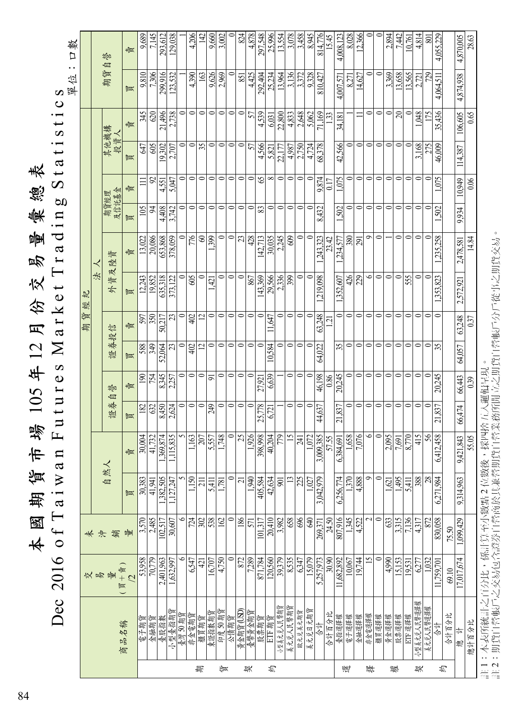|   |             | Dec 2016 of Taiwa |                          |                 | $\mathbf{u}$             |           | Futures Market   |                         |                          |             | Trad           | $\infty$<br>$\overline{11}$ |               | Stati       | $s$ t i        | $\boldsymbol{\omega}$<br>$\circ$ |                 |
|---|-------------|-------------------|--------------------------|-----------------|--------------------------|-----------|------------------|-------------------------|--------------------------|-------------|----------------|-----------------------------|---------------|-------------|----------------|----------------------------------|-----------------|
|   |             |                   |                          |                 |                          |           |                  |                         |                          |             |                |                             |               |             |                | 單位                               | 樊<br>$\Box$     |
|   |             |                   | 未                        |                 |                          |           |                  |                         | 省長<br>期                  | 钓<br>經      |                |                             |               |             |                |                                  |                 |
|   |             |                   | 夬                        |                 |                          |           |                  |                         |                          | 法           |                |                             |               |             |                |                                  |                 |
|   |             | 交易量               | 鎬                        | 自然人             |                          | 證券        | 誉<br>自           | 證券投信                    |                          | 小           | 資及陸資           | 及信託基金<br>期貨經理               |               | 其他機構<br>投資人 |                | 期貨                               | 誉<br>自          |
|   | 商品名稱        | $(\n$ 買 + 賣)<br>2 | 量                        | 買               | 蠹                        | 胍         | 賣                | 歐                       | 毒具                       | 觚           | 賣              | 買                           | 嚧             | 觚           | 毒具             | 歐                                | 蠹               |
|   | 電子期貨        | 53,958            | 3,570                    | 30,383          | 30,004                   | 182       | $\overline{190}$ | 588                     | 597                      | 12,243      | 13,022         | 105                         | $\equiv$      | 647         | 345            | 9.810                            | 9.689           |
|   | 金融期貨        | 70,779            | 2,485                    | 41,941          | 41,732                   | 632       | 754              | 349                     | 350                      | 19,852      | 20,086         | $\overline{5}$              | $\mathcal{S}$ | 605         | 620            | 7,306                            | 7,145           |
|   | 臺股指數        | 2,401,963         | 102.517                  | 1,382,505       | 369.874                  | 8,450     | 8,345            | 52,064                  | 50.217                   | 635,318     | 653,868        | 4.408                       | 4.551         | 19.302      | 21.496         | 299.916                          | 293.612         |
|   | 小型臺指期貨      | 1,632,997         | 30,607                   | 1,127,247       | 1,115,835                | 2,624     | 2,257            | 23                      | 23                       | 373,122     | 378,059        | 3,742                       | 5.047         | 2,707       | 2,738          | 123,532                          | 129,038         |
|   | 臺灣 50 期貨    | $\circ$           | ۰                        |                 | 5                        | $\circ$   | 0                | $\circ$                 |                          | $\circ$     | $\circ$        | $\circ$                     | $\circ$       |             | $\circ$        |                                  |                 |
|   | 非金電期貨       | 6,547             | 724                      | 1.150           | 1.163                    | $\bullet$ | $\circ$          | 402                     | 402                      | 605         | 776            | $\bullet$                   | $\circ$       | 0           | $\circ$        | 4,390                            | 4,206           |
| 期 | 櫃買期貨        | $\overline{4}$    | $\approx$                | $\Xi$           | 207                      | $\circ$   | $\circ$          | $\overline{\mathbf{c}}$ | $\overline{\mathcal{C}}$ | $\circ$     | $\otimes$      | $\circ$                     | $\circ$       | 35          | $\circ$        | 163                              | 142             |
|   | 東證指數期貨      | 16,707            | 538                      | 5411            | 5,557                    | 249       | $\overline{5}$   | $\circ$                 | $\circ$                  | 1,421       | 399            | $\bullet$                   | $\circ$       | $\circ$     | $\circ$        | 9.626                            | 9,660           |
| 征 | 印度50期貨      | 4,750             | 162                      | 1.781           | 1,748                    | 0         | $\circ$          | $\bullet$               | $\circ$                  | 0           | $\circ$        | $\circ$                     | $\circ$       | $\circ$     | $\circ$        | 2,969                            | 3,002           |
|   | 公債期貨        | 0                 |                          | $\circ$         | $\circ$                  | $\bullet$ | $\circ$          | $\circ$                 | $\bullet$                | $\circ$     | $\circ$        | $\bullet$                   | $\bullet$     | $\circ$     | $\bullet$      |                                  |                 |
|   | 黃金期貨 (USD)  | 872               | 186                      | $\overline{c}$  | $\overline{\mathcal{L}}$ | $\circ$   | $\circ$          | $\circ$                 | $\circ$                  | $\circ$     | $\mathfrak{L}$ | $\circ$                     | $\circ$       | $\circ$     | $\circ$        | 851                              | 824             |
| 契 | 臺幣黃金期貨      | 7,289             | 571                      | 1,940           | 1,926                    | $\bullet$ | $\circ$          | $\circ$                 | $\circ$                  | 867         | 428            | $\circ$                     | $\circ$       | 57          | 57             | 4,425                            | 4.878           |
|   | 股票期貨        | 871.784           | 101.317                  | 405,584         | 398,998                  | 25,778    | 27.921           | $\circ$                 | 0                        | 143.369     | 142.713        | 83                          | 65            | 4.566       | 4.539          | 292,404                          | 297,548         |
| 稻 | ETF 期貨      | 120,560           | 20,410                   | 42,634          | 40,204                   | 6,721     | 6,639            | 584<br>≌,               | 11,647                   | 29,566      | 30,035         | $\circ$                     | $\infty$      | 5,821       | 6,031          | 25,234                           | 25,996          |
|   | 小型美元兑人民幣期貨  | 39,379            | 3,982                    | $\overline{5}$  | 779                      |           |                  | 0                       | 0                        | 2,336       | 2.245          | $\circ$                     | $\circ$       | 22,177      | 22,800         | 13,964                           | 13,554          |
|   | 美元兑人民幣期     | 8,535             | 658                      | $\overline{13}$ | $\overline{15}$          | 0         | $\circ$          | $\bullet$               | $\circ$                  | 399         | 609            | $\circ$                     | $\circ$       | 4.987       | 4,833          | 3,136                            | 3,078           |
|   | 欧元兑美元期貨     | 6,347             | 696                      | 25              | 241                      | $\bullet$ | $\circ$          | $\bullet$               | $\bullet$                | $\bullet$   | $\circ$        | $\bullet$                   | $\bullet$     | 2,750       | 2,648          | 3.372                            | 3,458           |
|   | 美元兑日元期货     | 15.079            | \$                       | 1.027           | 1.072                    | $\circ$   | $\circ$          | $\circ$                 | $\circ$                  | $\circ$     | $\circ$        | $\circ$                     | $\circ$       | 4,724       | 5.062          | 9328                             | 8.945           |
|   | 合計          | 5,257,973         | 269,371                  | 3,042,979       | 3,009,385                | 44,637    | 46,198           | 64.022                  | 63,248                   | 219.098     | ,243,323       | 8,432                       | 9,874         | 68,378      | 71,169         | 810,427                          | 814,776         |
|   | 合計百分比       | 30.90             | 24.50                    |                 | 57.55                    |           | 0.86             |                         | $\Xi$                    |             | 23.42          |                             | 0.17          |             | $\overline{3}$ |                                  | 15.45           |
| 豐 | 臺指選擇權       | 11,682,892        | 807,916                  | 6,256,774       | 6,384,691                | 21,837    | 20,245           | 35                      | $\circ$                  | .352,607    | .234,577       | 1,502                       | 1,075         | 42,566      | 34,181         | 4,007,571                        | 4,008,123       |
|   | 電子選擇權       | 10,067            | 1,345                    | 1,370           | 1,658                    | $\circ$   | 0                | $\circ$                 | $\circ$                  | 426         | 380            | $\bullet$                   | 0             |             |                | 8,271                            | 8,028           |
|   | 金融選擇權       | 19,744            | 4,522                    | 4,888           | 7,076                    | $\circ$   | $\circ$          | $\circ$                 | $\circ$                  | 229         | 291            | $\circ$                     | $\circ$       | $\circ$     |                | 14,627                           | 12,366          |
| 擇 | 非全電選擇權      | 51                | $\overline{\mathcal{L}}$ | Ò               | $\bullet$                | $\circ$   | $\circ$          | $\circ$                 | $\circ$                  | $\bullet$   | $\circ$        | $\circ$                     | $\circ$       | $\circ$     | $\bullet$      | $\bullet$                        |                 |
|   | 櫃買選擇權       | $\circ$           | 0                        | $\circ$         | $\circ$                  | $\circ$   | $\circ$          | $\circ$                 | 0                        | $\circ$     | $\circ$        | $\circ$                     | $\circ$       | $\circ$     | $\circ$        | $\circ$                          | 0               |
| 權 | 黄金選擇權       | 4,990             | 633                      | $\overline{2}$  | 2,095                    | $\bullet$ | $\circ$          | $\bullet$               | $\circ$                  | $\circ$     |                | $\bullet$                   | $\circ$       | $\circ$     | $\circ$        | 3,369                            | 2,894           |
|   | 股票選擇權       | 15,153            | 3,315                    | 1.495           | 7,691                    | $\circ$   | $\circ$          | $\circ$                 | 0                        | $\circ$     | $\bullet$      | $\bullet$                   | $\bullet$     | $\circ$     | $\infty$       | 13,658                           | 7,442           |
|   | ETF選擇權      | 19,531            | 7,136                    | 5.411           | 8,770                    | $\circ$   | $\circ$          | $\circ$                 | $\circ$                  | 555         | $\circ$        | $\circ$                     | $\circ$       | $\subset$   | $\circ$        | 13,565                           | 10.761          |
| 契 | 小型美元兑人民幣選擇權 | 6,277             | 4317                     | 388             | 415                      | $\circ$   | $\circ$          | $\circ$                 | $\circ$                  | $\bullet$   | $\circ$        | $\bullet$                   | $\bullet$     | 3,168       | ,048           | 2,721                            | 4,814           |
|   | 美元兑人民幣選擇權   | 1.032             | 872                      | 28              | 56                       | $\circ$   | $\circ$          | $\circ$                 | $\circ$                  | 0           | $\circ$        | $\mathbf{\circ}$            | $\circ$       | 275         | 175            | 729                              | SO <sub>1</sub> |
| 档 | 计合          | 1,759,70          | 830,058                  | 6,271,984       | 6,412,458                | 21,837    | 20,245           | 35                      | 0                        | 823<br>353. | 235,258        | 502                         | 075           | 46,009      | 436<br>35,     | 4,064,511                        | 229<br>4,055.2  |
|   | 合計百分比       | 69.10             | 75.50                    |                 |                          |           |                  |                         |                          |             |                |                             |               |             |                |                                  |                 |
|   | 總計          | 17,017,674        | 1,099,429                | 9,314,963       | 9,421,843                | 66,474    | 66,443           | 64,057                  | 63,248                   | 2,572,921   | 2,478,581      | 9,934                       | 10,949        | 114,387     | 106,605        | 4,874,938                        | 4,870,005       |
|   | 總計百分比       |                   |                          |                 | 55.05                    |           | 0.39             |                         | 0.37                     |             | 14.84          |                             | 0.06          |             | 0.65           |                                  | 28.63           |

註 1:本 表 所 統 語 之 百 分 比,係 計 算 至 うこうしょう かんしゅう こうしゃく しゅうしゅう こうしゃく こうしゃく こうしゃく こうしゃく こうしゃく こうしゃく こうしゃくん こうしゃくん こうしゃくん こうしゃ 數 點 2 位 數 後,採 四 捨 五  $\preceq$ 邏 輯 呈 現。 註 2:期 貨 自 營 帳 戶 之 交 易 包 含 證 券 自 營 商 於 其 兼 營 期 貨 自 營 業 務 所 開 立 之 期 貨 自 營 帳 戶 分 戶 從 事 之 期 貨 交 。<br>尿

 $\cancel{\ast}$ 

國

期

貨

市

場

 $\overline{\phantom{0}}$  $\bullet$  $\tilde{\mathbf{C}}$ 年  $\overline{\phantom{0}}$  $\mathbf{\sim}$ 月

份

交

易量

彙

總

表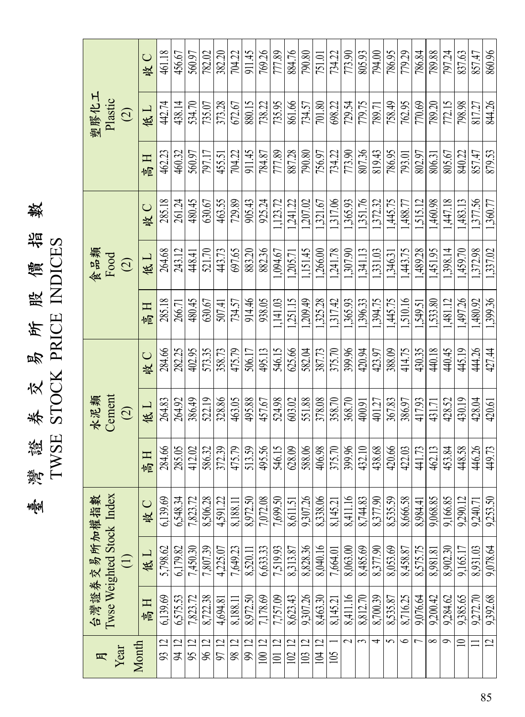臺灣證券交易所股價指數<br>TWSE STOCK PRICE INDICES 灣 證 券 交 易 所 股 價 指 數 TWSE STOCK PRICE INDICES

|                                                         | 收 C | 461.18      | 456.67   | 560.97   | 782.02   | 382.20   | 704.22   | 911.45   | 769.26   | 777.89                  | 884.76                | 790.80   | 751.01                           | 734.22   | 773.90   | 805.93                | 794.00   | 786.95   | 779.29    | 786.84         | 789.88   | 797.24   | 837.63   | 857.47   | 860.96         |
|---------------------------------------------------------|-----|-------------|----------|----------|----------|----------|----------|----------|----------|-------------------------|-----------------------|----------|----------------------------------|----------|----------|-----------------------|----------|----------|-----------|----------------|----------|----------|----------|----------|----------------|
| 塑膠化工<br>Plastic<br>$\bigcirc$                           | 低口  | 442.74      | 438.14   | 534.70   | 735.07   | 373.28   | 672.67   | 880.15   | 738.22   | 735.95                  | 861.66                | 734.57   | 701.80                           | 698.22   | 729.54   | 779.75                | 789.71   | 758.49   | 762.95    | 770.69         | 789.20   | 772.15   | 798.98   | 817.27   | 844.26         |
|                                                         | 百官  | 462.23      | 460.32   | 560.97   | 797.17   | 455.51   | 704.22   | 911.45   | 784.87   | 777.89                  | 887.28                | 790.80   | 756.97                           | 734.22   | 773.90   | 807.36                | 819.43   | 786.95   | 793.01    | 802.97         | 806.31   | 805.67   | 840.22   | 857.47   | 879.53         |
|                                                         | 收 C | 285.18      | 261.24   | 480.45   | 630.67   | 463.55   | 729.89   | 905.43   | 925.24   | 1,123.72                | 1,241.22              | 1.207.02 | 1,321.67                         | 1,317.06 | 1.365.93 | 1,351.76              | 1,372.32 | 1,445.75 | 1.488.77  | 1,515.12       | 1,460.98 | 1,447.18 | 1.483.13 | 1,377.56 | 1,360.77       |
| 食品類<br>Food<br>$\bigcirc$                               | 低口  | 264.68      | 243.12   | 448.41   | 521.70   | 443.73   | 697.65   | 883.20   | 882.36   | 1,094.67                | 1,205.71              | 1,151.45 | 1,266.00                         | 1,241.78 | 1,307.90 | 1,341.13              | 1,331.03 | 1,346.31 | 1,443.75  | 1,489.28       | 1,451.95 | 1,398.14 | 1,459.70 | 1,372.98 | 1,337.02       |
|                                                         | 直向  | 285.18      | 266.71   | 480.45   | 630.67   | 507.41   | 734.57   | 914.46   | 938.05   | 1,141.03                | 1,251.15              | 1.209.49 | 1,325.28                         | 1,317.42 | 1.365.93 | 1,396.33              | 1.394.75 | 1,445.75 | 1.510.16  | 1,549.51       | 1,533.80 | 1,481.12 | .497.26  | 1,480.92 | 1,399.36       |
|                                                         | 收C  | 284.66      | 282.25   | 402.95   | 573.35   | 358.73   | 475.79   | 506.17   | 495.13   | 546.15                  | 625.66                | 582.04   | 387.73                           | 375.70   | 399.96   | 420.94                | 423.97   | 388.09   | 414.75    | 430.35         | 440.18   | 440.45   | 445.19   | 444.26   | 427.44         |
| Cement<br>水泥類<br>$\bigcirc$                             | 低工  | 264.83      | 264.92   | 386.49   | 522.19   | 328.86   | 463.05   | 495.88   | 457.67   | 524.98                  | 603.02                | 551.88   | 378.08                           | 358.70   | 368.70   | 400.91                | 401.27   | 367.83   | 386.97    | 417.93         | 431.71   | 428.52   | 430.19   | 428.04   | 420.61         |
|                                                         | 盲气  | 284.66      | 285.05   | 412.02   | 586.32   | 372.39   | 475.79   | 513.59   | 495.56   | 546.15                  | 628.09                | 588.06   | 406.98                           | 375.70   | 399.96   | 432.10                | 438.68   | 420.66   | 422.03    | 441.73         | 462.13   | 453.84   | 448.58   | 446.26   | 449.73         |
|                                                         | 收C  | 6,139.69    | 6,548.34 | 7,823.72 | 8,506.28 | 4.591.22 | 8.188.11 | 8.972.50 | 7,072.08 | 7,699.50                | 8,611.51              | 9307.26  | 8,338.06                         | 8,145.21 | 8.411.16 | 8,744.83              | 8,377.90 | 8,535.59 | 8.666.58  | 8,984.41       | 9,068.85 | 9,166.85 | 9.290.12 | 9,240.71 | 9,253.50       |
| Twse Weighted Stock Index<br>台灣證券交易所加權指數<br>$\bigoplus$ | 低口  | 5,798.62    | 6.179.82 | 7,450.30 | 7,807.39 | 4,225.07 | 7,649.23 | 8,520.11 | 6,633.33 | 7,519.93                | 8,313.87              | 8,828.36 | 8,040.16                         | 7,664.01 | 8,063.00 | 8,485.69              | 8,377.90 | 8,053.69 | 8.458.87  | 8,575.75       | 8,981.81 | 8,902.30 | 9,165.17 | 8.931.03 | 9,078.64       |
|                                                         | 日息  | 6,139.69    | 6,575.53 | 7,823.72 | 8.722.38 | 4,694.81 | 8.188.11 | 8,972.50 | 7,178.69 | 7.757.09                | 8,623.43              | 9307.26  | 8,463.30                         | 8.145.21 | 8,411.16 | 8,812.70              | 8,700.39 | 8,535.87 | 8.716.25  | 9,076.64       | 9.200.42 | 9,284.62 | 9.385.65 | 9,272.70 | 9,392.68       |
| Month<br>Year<br>月                                      |     | $\Xi$<br>93 | 94 12    | 95 12    | 96 12    | 9712     | 98 12    | 99 12    | 100 12   | $\overline{c}$<br>$\Xi$ | $\overline{2}$<br>102 | 103 12   | $\overline{c}$<br>$\overline{a}$ | 105      | $\sim$   | $\tilde{\phantom{0}}$ | 4        | 5        | $\bullet$ | $\overline{ }$ | $\infty$ | $\sigma$ | $\Box$   | $\equiv$ | $\overline{C}$ |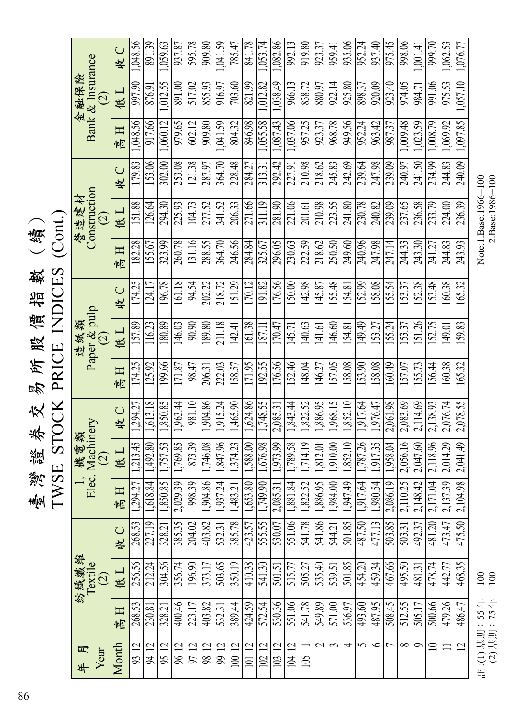TWSE STOCK PRICE INDICES (Cont.) TWSE STOCK PRICE INDICES (Cont.) 86 臺 灣 證 券 交 易 所 股 價 指 數 (續) 書 臺灣證券交易所股價指數

1,048.56 1,059.63 1,041.59 841.78 1,053.74 992.13 1,062.53 1,076.77595.78 1,082.86 919.80 935.06 952.24 975.45 998.06 891.39 937.87 909.80 785.47 923.37 959.41 937.40  $\frac{1}{001.41}$ 999.70 收 C 高 H | 低 L | 高 H | 低 L | 收 C | 高 H | 枚 C | 高 H | 松 C | 高 J | 八 H | 水 C | 高 H | 松 L | 收 C Bank & Insurance 金融保險 1,012.55 1,012.82 1,038.49 1,057.10 891.00 517.02 855.93 916.97 703.60 821.99 966.13 838.72 880.97 922.14 974.05 991.06 975.53 997.90 876.91 925.80 898.37 920.09 923.40 984.71 低工  $\odot$ 1,060.12 602.12 1,041.59 1,055.58 1,087.43 1,037.06 1,097.85 917.66 979.65 909.80 804.32 846.98 957.25 968.78 949.56 952.24 963.42  $\sqrt{09.48}$ 1,023.59  $\sqrt{008.79}$  $\sqrt{0.999}$ 923.37 987.37 1,048.56 日息 292.42 179.83 153.06 302.00 121.38 364.70 228.48 284.27 313.31 218.62 245.83 242.69 239.09 240.97 234.99 244.83 240.09 253.08 287.97 227.91 210.98 239.64 247.98 241.50 收 C **Construction** 營造建材 151.88 126.64 294.30 104.73 277.52 341.52 206.33 271.66 311.19 221.06 210.98 223.55 230.78 240.82 237.65 236.58 233.79 224.00 236.39 225.93 281.90 241.80 239.09 201.61 低工  $\widehat{\infty}$ 182.28  $\sqrt{260.78}$ 131.16 288.55  $364.70$ 246.56 155.67 323.99 284.84 325.67 296.05  $\overline{230.63}$ 222.59 218.62 250.50 249.60 240.96 247.98 247.14 244.33 243.30 241.27 244.83 243.93 日高 161.18 174.25 196.78 94.54 202.22 218.72 151.29 170.12 191.82 176.56 142.98 155.48 152.99 158.08 155.54 152.38 153.48 160.38 165.32 124.17 150.00 145.87 153.37 154.81 收 C Paper & pulp 116.23 161.38 157.89 180.89 146.03 90.90 189.80 211.18 170.47 140.63 146.60 149.49 155.24 153.37 151.26 152.75 149.01 159.83 142.41 141.61 153.27 造紙類 145.71 154.81 低工 187.11  $\widehat{\infty}$ 199.66 171.95 165.32 174.25 125.92 222.03 158.57 192.55 176.56 152.46 148.04 157.05 158.08 153.90 158.08 160.49 155.73 156.44 160.38 171.87 98.47 206.31 146.27 157.07 高田 1,613.18 1,850.85 1,963.44 981.10 1,904.86 1,465.90 1,624.86 1,748.55 1,843.44 1,822.52 1,886.95 1,968.15 1,852.10 2,083.69 2,114.69 2,138.93 2,076.74 2,078.55 1,294.27 1,917.64  $\sqrt{1,976.47}$ 1,915.24 2,061.98 2,085.31  $\bigcup$ 收 Elec. Machinery 1, 機電類 1,769.85 1,714.19 1,852.10 1,787.26 2,056.16 1,213.45 1,757.53 873.39 1,789.58 1,958.04 2,118.96 2,014.29  $2,041.49$ 1,812.01 1,917.35 1,910.00 2,047.60 低工 1,492.80 1,746.08 1,847.96 1,374.23 1,588.00 1,676.98 1,973.99  $\widehat{\infty}$ 2,029.39 1,822.52  $|947.49|$ 998.39 1,881.84  $.984.00$  $2,104.98$ 1,886.95 1,980.54 2,110.25 1,917.64 2,086.19  $2,148.42$ 1,294.27 2,171.04 2,137.39 1,618.84 1,850.85 1,904.86 1,937.24 1,653.80 1,749.90 日息 1,483.21 2,085.31 530.07  $385.35$  . 403.82 423.57 555.55 544.21 501.85 268.53 204.02 551.06 541.78 541.86 487.50 477.13 503.85 475.50 492.37 481.20 473.47 503.31 227.19 385.78 收C 328.21 532.31 紡織纖維 212.24 256.56 304.56 356.74 515.77 503.65 350.19 410.38 541.30 505.27 501.85 459.34 467.66 468.35 196.90 373.17 501.51 535.40 539.51 454.20 495.50 481.31 478.74 442.77 Textile 低工  $\widehat{\Omega}$ 479.26 268.53 400.46 223.17 403.82 389.44 424.59 572.54 530.36 551.06 541.78 549.89 571.00 536.97 493.60 487.95 508.45 512.55 505.17 500.66 486.47 532.31 230.81 328.21  $\blacksquare$ 高100 12 101 12 102 12 103 12 104 12  $\overline{\mathcal{L}}$  $\tilde{3}$  $\sim$  $\infty$  $\overline{2}$  $\supseteq$ Month  $\overline{\phantom{0}}$ <u>n | 11</u><br>9 | 2 | 2<br>19 | 2 96 12 97 12 2||2<br>|<br>|<br>|<br>|<br>|<br>|<br>| 4  $\bullet$  $\bar{}$  $\mathfrak{g}$ Year 年 月  $\overline{\text{10}}$ 

2.Base:1986=100 Note:1.Base:1966=100 :(1) 基期:55 年= 100 Note:1.Base:1966=100 (2) 基期:75 年= 100 2.Base:1986=100

:(1) 基期:55 年= 100<br>(2) 基期:75 年= 100 註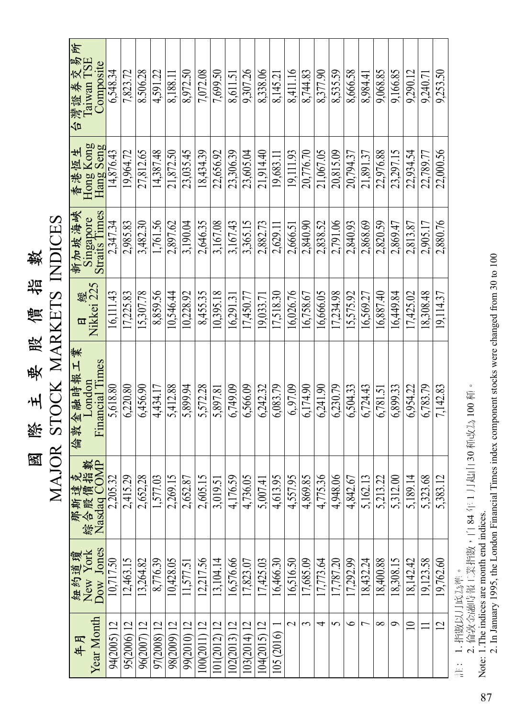| 數                  |  |
|--------------------|--|
| <u>र्गम</u>        |  |
| Ą<br>m<br>ζ        |  |
| 毁                  |  |
| 要                  |  |
| ٠H                 |  |
| 巡<br>$\frac{2}{3}$ |  |
| 圂                  |  |

| 年月                 |                               |                                                                                           | 倫敦金融時報工業                         | 口          | 新加坡海峽                             | 香港恆生                   | 台灣證券交易所<br>Taiwan TSE |
|--------------------|-------------------------------|-------------------------------------------------------------------------------------------|----------------------------------|------------|-----------------------------------|------------------------|-----------------------|
| Year Month         | 紐約道瓊<br>New York<br>Dow Jones | ·<br>教<br><br><br><br><br><br><br><br><br><br><br><br><br><br>那斯達克<br>綜合股價指<br>Nasdag COM | <b>Financial Times</b><br>London | Nikkei 225 | <b>Straits Times</b><br>Singapore | Hong Kong<br>Hang Seng | Composite             |
| 94(2005) 12        | 10,717.50                     | 2,205.32                                                                                  | 5,618.80                         | 16.111.43  | 2,347.34                          | 14,876.43              | 6,548.34              |
| 95(2006) 12        | 12,463.15                     | 2,415.29                                                                                  | 6.220.80                         | 17.225.83  | 2,985.83                          | 19.964.72              | 7.823.72              |
| 96(2007) 12        | 13.264.82                     | 2.652.28                                                                                  | 6,456.90                         | 15.307.78  | 3,482.30                          | 27,812.65              | 8.506.28              |
| 97(2008) 12        | 8,776.39                      | .577.03                                                                                   | 4.434.17                         | 8.859.56   | 1.761.56                          | 14.387.48              | 4,591.22              |
| 98(2009) 12        | 10,428.05                     | 2,269.15                                                                                  | 5.412.88                         | 10.546.44  | 2,897.62                          | 21,872.50              | 8.188.1               |
| 99(2010) 12        | 1.577.51                      | $2,65\overline{2.87}$                                                                     | 5,899.94                         | 10.228.92  | 3.190.04                          | 23.035.45              | 8.972.50              |
| $.00(2011)$ 12     | 12.217.56                     | 2,605.15                                                                                  | 5.572.28                         | 8.455.35   | 2,646.35                          | 18,434.39              | 7.072.08              |
| 01(2012) 12        | 13.104.14                     | 3,019.51                                                                                  | 5.897.81                         | 10.395.18  | 3,167.08                          | 22,656.92              | 7,699.50              |
| 02(2013)12         | 16.576.66                     | 4.176.59                                                                                  | 6,749.09                         | 16.291.3   | 3.167.43                          | 23,306.39              | 8,611.51              |
| $03(2014)$ 12      | 17,823.07                     | 4,736.05                                                                                  | 6,566.09                         | 7,450.77   | 3,365.15                          | 23,605.04              | 9.307.26              |
| 04(2015) 12        | 17,425.03                     | 5,007.41                                                                                  | 6,242.32                         | 19,033.7   | 2,882.73                          | 21,914.40              | 8,338.06              |
| 105 (2016)         | 16,466.30                     | 4,613.95                                                                                  | 6,083.79                         | 17.518.30  | 2,629.11                          | 19,683.1               | 8,145.21              |
| $\scriptstyle\sim$ | 16,516.50                     | 4,557.95                                                                                  | 6.97.09                          | 16,026.76  | 2,666.51                          | 19,111.93              | 8,411.16              |
| ς                  | 17,685.09                     | 4,869.85                                                                                  | 6,174.90                         | 16,758.67  | 2,840.90                          | 20,776.70              | 8,744.83              |
| 4                  | 17,773.64                     | 4,775.36                                                                                  | 6.241.90                         | 16,666.05  | 2,838.52                          | 21,067.05              | 8,377.90              |
| 5                  | 17,787.20                     | 4,948.06                                                                                  | 6,230.79                         | 17.234.98  | 2,791.06                          | 20,815.09              | 8,535.59              |
| ◡                  | 17.292.99                     | 4,842.67                                                                                  | 6,504.33                         | 15,575.92  | 2,840.93                          | 20,794.37              | 8,666.58              |
| ᡕ                  | 18,432.24                     | 5,162.13                                                                                  | 6.724.43                         | 16,569.27  | 2,868.69                          | 21.891.37              | 8.984.41              |
| $\infty$           | 18.400.88                     | 5.213.22                                                                                  | 6,781.51                         | 16,887.40  | 2.820.59                          | 22.976.88              | 9,068.85              |
| P                  | 18.308.15                     | 5.312.00                                                                                  | 6.899.33                         | 16.449.84  | 2,869.47                          | 23,297.15              | 9,166.85              |
| $\supseteq$        | 18,142.42                     | 5.189.14                                                                                  | 6.954.22                         | 17,425.02  | 2.813.87                          | 22,934.54              | 9.290.12              |
|                    | 19,123.58                     | 5.323.68                                                                                  | 6,783.79                         | 18.308.48  | 2.905.17                          | 22,789.77              | 9.240.7               |
| $\overline{2}$     | 19,762.60                     | 5,383.12                                                                                  | 7,142.83                         | 19,114.37  | 2,880.76                          | 22,000.56              | 9,253.50              |

: 1. 指數以月底為準。

註: 1. 指數以月底為準。<br>2. 倫敦金融時報工業指數,自 84 年 1 月起由 30 種改為 100 種。<br>Note: 1.The indices are month end indices.<br>2. In January 1995, the London Financial Times index component stocks were changed from 30 to 100 2. 倫敦金融時報工業指數,自 84 年 1 月起由 30 種改為 100 種。

Note: 1.The indices are month end indices. 2. In January 1995, the London Financial Times index component stocks were changed from 30 to 100